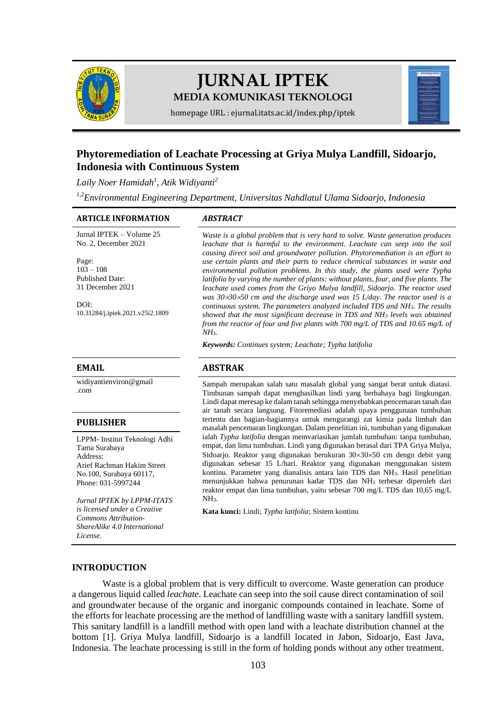

# **JURNAL IPTEK MEDIA KOMUNIKASI TEKNOLOGI**



homepage URL [: ejurnal.itats.ac.id/index.php/iptek](https://ejurnal.itats.ac.id/iptek)

# **Phytoremediation of Leachate Processing at Griya Mulya Landfill, Sidoarjo, Indonesia with Continuous System**

*Laily Noer Hamidah<sup>1</sup> , Atik Widiyanti<sup>2</sup>*

*1,2Environmental Engineering Department, Universitas Nahdlatul Ulama Sidoarjo, Indonesia*

#### **ARTICLE INFORMATION** *ABSTRACT*

Jurnal IPTEK – Volume 25 No. 2, December 2021

Page:  $103 - 108$ Published Date: 31 December 2021

DOI: [10.31284/j.iptek.2021.v25i2.1809](https://doi.org/10.31284/j.iptek.2021.v25i2.1809)

[widiyantienviron@gmail](mailto:%20widiyantienviron@gmail.com) [.com](mailto:%20widiyantienviron@gmail.com)

#### **PUBLISHER**

LPPM- Institut Teknologi Adhi Tama Surabaya Address: Arief Rachman Hakim Street No.100, Surabaya 60117, Phone: 031-5997244

*Jurnal IPTEK by LPPM-ITATS is licensed under a Creative Commons Attribution-ShareAlike 4.0 International License.*

*Waste is a global problem that is very hard to solve. Waste generation produces leachate that is harmful to the environment. Leachate can seep into the soil causing direct soil and groundwater pollution. Phytoremediation is an effort to use certain plants and their parts to reduce chemical substances in waste and environmental pollution problems. In this study, the plants used were Typha latifolia by varying the number of plants: without plants, four, and five plants. The leachate used comes from the Griyo Mulya landfill, Sidoarjo. The reactor used was 303050 cm and the discharge used was 15 L/day. The reactor used is a continuous system. The parameters analyzed included TDS and NH3. The results showed that the most significant decrease in TDS and NH<sup>3</sup> levels was obtained from the reactor of four and five plants with 700 mg/L of TDS and 10.65 mg/L of NH3.*

*Keywords: Continues system; Leachate; Typha latifolia*

### **EMAIL ABSTRAK**

Sampah merupakan salah satu masalah global yang sangat berat untuk diatasi. Timbunan sampah dapat menghasilkan lindi yang berbahaya bagi lingkungan. Lindi dapat meresap ke dalam tanah sehingga menyebabkan pencemaran tanah dan air tanah secara langsung. Fitoremediasi adalah upaya penggunaan tumbuhan tertentu dan bagian-bagiannya untuk mengurangi zat kimia pada limbah dan masalah pencemaran lingkungan. Dalam penelitian ini, tumbuhan yang digunakan ialah *Typha latifolia* dengan memvariasikan jumlah tumbuhan: tanpa tumbuhan, empat, dan lima tumbuhan. Lindi yang digunakan berasal dari TPA Griya Mulya, Sidoarjo. Reaktor yang digunakan berukuran 30×30×50 cm dengn debit yang digunakan sebesar 15 L/hari. Reaktor yang digunakan menggunakan sistem kontinu. Parameter yang dianalisis antara lain TDS dan NH3. Hasil penelitian menunjukkan bahwa penurunan kadar TDS dan NH<sup>3</sup> terbesar diperoleh dari reaktor empat dan lima tumbuhan, yaitu sebesar 700 mg/L TDS dan 10,65 mg/L NH3.

**Kata kunci:** Lindi; *Typha latifolia*; Sistem kontinu

### **INTRODUCTION**

Waste is a global problem that is very difficult to overcome. Waste generation can produce a dangerous liquid called *leachate*. Leachate can seep into the soil cause direct contamination of soil and groundwater because of the organic and inorganic compounds contained in leachate. Some of the efforts for leachate processing are the method of landfilling waste with a sanitary landfill system. This sanitary landfill is a landfill method with open land with a leachate distribution channel at the bottom [1]. Griya Mulya landfill, Sidoarjo is a landfill located in Jabon, Sidoarjo, East Java, Indonesia. The leachate processing is still in the form of holding ponds without any other treatment.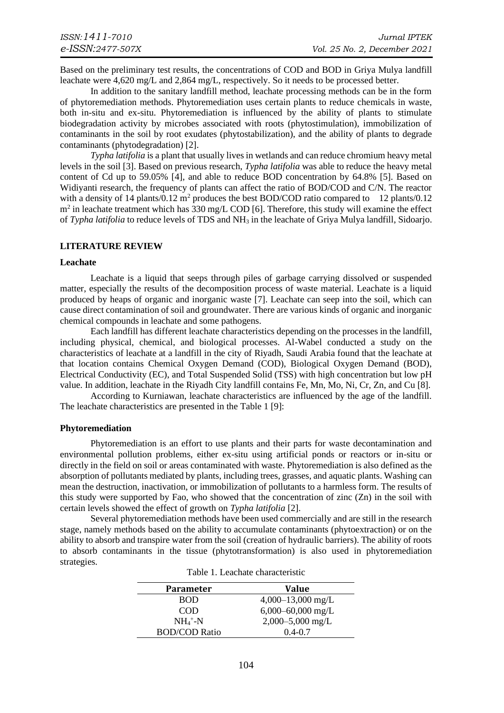Based on the preliminary test results, the concentrations of COD and BOD in Griya Mulya landfill leachate were 4,620 mg/L and 2,864 mg/L, respectively. So it needs to be processed better.

In addition to the sanitary landfill method, leachate processing methods can be in the form of phytoremediation methods. Phytoremediation uses certain plants to reduce chemicals in waste, both in-situ and ex-situ. Phytoremediation is influenced by the ability of plants to stimulate biodegradation activity by microbes associated with roots (phytostimulation), immobilization of contaminants in the soil by root exudates (phytostabilization), and the ability of plants to degrade contaminants (phytodegradation) [2].

*Typha latifolia* is a plant that usually lives in wetlands and can reduce chromium heavy metal levels in the soil [3]. Based on previous research, *Typha latifolia* was able to reduce the heavy metal content of Cd up to 59.05% [4], and able to reduce BOD concentration by 64.8% [5]. Based on Widiyanti research, the frequency of plants can affect the ratio of BOD/COD and C/N. The reactor with a density of 14 plants/0.12 m<sup>2</sup> produces the best BOD/COD ratio compared to 12 plants/0.12  $m<sup>2</sup>$  in leachate treatment which has 330 mg/L COD [6]. Therefore, this study will examine the effect of *Typha latifolia* to reduce levels of TDS and NH<sup>3</sup> in the leachate of Griya Mulya landfill, Sidoarjo.

# **LITERATURE REVIEW**

#### **Leachate**

Leachate is a liquid that seeps through piles of garbage carrying dissolved or suspended matter, especially the results of the decomposition process of waste material. Leachate is a liquid produced by heaps of organic and inorganic waste [7]. Leachate can seep into the soil, which can cause direct contamination of soil and groundwater. There are various kinds of organic and inorganic chemical compounds in leachate and some pathogens.

Each landfill has different leachate characteristics depending on the processes in the landfill, including physical, chemical, and biological processes. Al-Wabel conducted a study on the characteristics of leachate at a landfill in the city of Riyadh, Saudi Arabia found that the leachate at that location contains Chemical Oxygen Demand (COD), Biological Oxygen Demand (BOD), Electrical Conductivity (EC), and Total Suspended Solid (TSS) with high concentration but low pH value. In addition, leachate in the Riyadh City landfill contains Fe, Mn, Mo, Ni, Cr, Zn, and Cu [8].

According to Kurniawan, leachate characteristics are influenced by the age of the landfill. The leachate characteristics are presented in the Table 1 [9]:

#### **Phytoremediation**

Phytoremediation is an effort to use plants and their parts for waste decontamination and environmental pollution problems, either ex-situ using artificial ponds or reactors or in-situ or directly in the field on soil or areas contaminated with waste. Phytoremediation is also defined as the absorption of pollutants mediated by plants, including trees, grasses, and aquatic plants. Washing can mean the destruction, inactivation, or immobilization of pollutants to a harmless form. The results of this study were supported by Fao, who showed that the concentration of zinc (Zn) in the soil with certain levels showed the effect of growth on *Typha latifolia* [2].

Several phytoremediation methods have been used commercially and are still in the research stage, namely methods based on the ability to accumulate contaminants (phytoextraction) or on the ability to absorb and transpire water from the soil (creation of hydraulic barriers). The ability of roots to absorb contaminants in the tissue (phytotransformation) is also used in phytoremediation strategies.

| <b>Parameter</b>     | <b>Value</b>          |
|----------------------|-----------------------|
| <b>BOD</b>           | $4,000-13,000$ mg/L   |
| COD                  | $6,000 - 60,000$ mg/L |
| $NH_4^+$ -N          | $2,000 - 5,000$ mg/L  |
| <b>BOD/COD Ratio</b> | $0.4 - 0.7$           |

Table 1. Leachate characteristic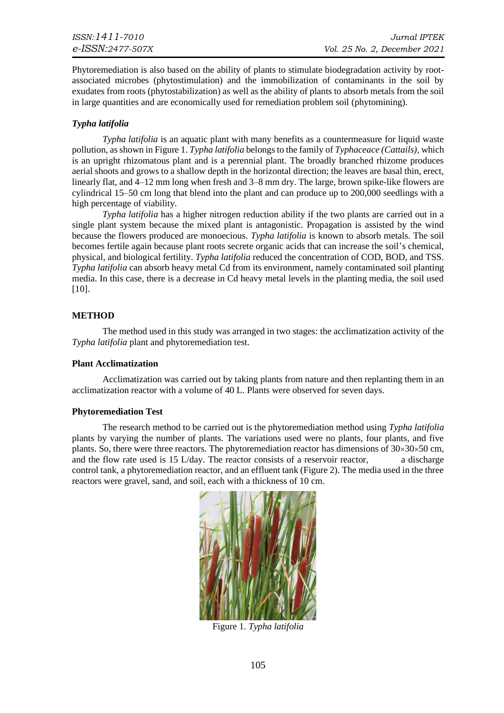Phytoremediation is also based on the ability of plants to stimulate biodegradation activity by rootassociated microbes (phytostimulation) and the immobilization of contaminants in the soil by exudates from roots (phytostabilization) as well as the ability of plants to absorb metals from the soil in large quantities and are economically used for remediation problem soil (phytomining).

# *Typha latifolia*

*Typha latifolia* is an aquatic plant with many benefits as a countermeasure for liquid waste pollution, as shown in Figure 1. *Typha latifolia* belongs to the family of *Typhaceace (Cattails),* which is an upright rhizomatous plant and is a perennial plant. The broadly branched rhizome produces aerial shoots and grows to a shallow depth in the horizontal direction; the leaves are basal thin, erect, linearly flat, and  $4-12$  mm long when fresh and  $3-8$  mm dry. The large, brown spike-like flowers are cylindrical 15–50 cm long that blend into the plant and can produce up to 200,000 seedlings with a high percentage of viability.

*Typha latifolia* has a higher nitrogen reduction ability if the two plants are carried out in a single plant system because the mixed plant is antagonistic. Propagation is assisted by the wind because the flowers produced are monoecious. *Typha latifolia* is known to absorb metals. The soil becomes fertile again because plant roots secrete organic acids that can increase the soil's chemical, physical, and biological fertility. *Typha latifolia* reduced the concentration of COD, BOD, and TSS. *Typha latifolia* can absorb heavy metal Cd from its environment, namely contaminated soil planting media. In this case, there is a decrease in Cd heavy metal levels in the planting media, the soil used [10].

# **METHOD**

The method used in this study was arranged in two stages: the acclimatization activity of the *Typha latifolia* plant and phytoremediation test.

# **Plant Acclimatization**

Acclimatization was carried out by taking plants from nature and then replanting them in an acclimatization reactor with a volume of 40 L. Plants were observed for seven days.

# **Phytoremediation Test**

The research method to be carried out is the phytoremediation method using *Typha latifolia*  plants by varying the number of plants. The variations used were no plants, four plants, and five plants. So, there were three reactors. The phytoremediation reactor has dimensions of  $30\times30\times50$  cm, and the flow rate used is  $15$  L/day. The reactor consists of a reservoir reactor,  $\qquad a$  discharge control tank, a phytoremediation reactor, and an effluent tank (Figure 2). The media used in the three reactors were gravel, sand, and soil, each with a thickness of 10 cm.



Figure 1. *Typha latifolia*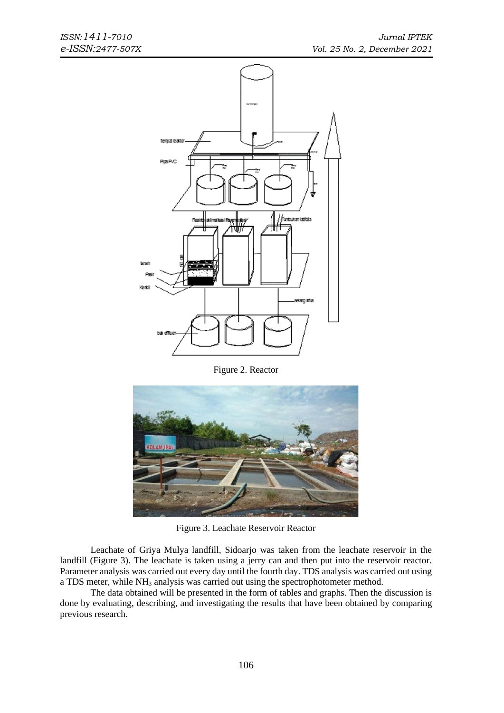

Figure 2. Reactor



Figure 3. Leachate Reservoir Reactor

Leachate of Griya Mulya landfill, Sidoarjo was taken from the leachate reservoir in the landfill (Figure 3). The leachate is taken using a jerry can and then put into the reservoir reactor. Parameter analysis was carried out every day until the fourth day. TDS analysis was carried out using a TDS meter, while NH<sup>3</sup> analysis was carried out using the spectrophotometer method.

The data obtained will be presented in the form of tables and graphs. Then the discussion is done by evaluating, describing, and investigating the results that have been obtained by comparing previous research.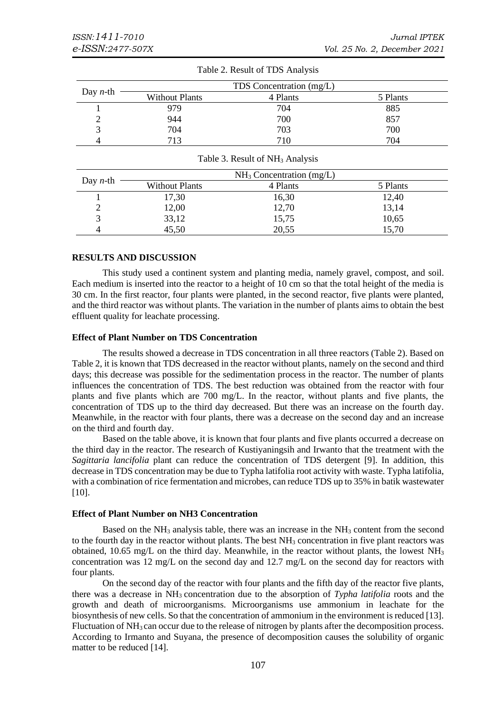|                  |                       | TDS Concentration (mg/L) |          |
|------------------|-----------------------|--------------------------|----------|
| Day <i>n</i> -th | <b>Without Plants</b> | 4 Plants                 | 5 Plants |
|                  | 979                   | 704                      | 885      |
|                  | 944                   | 700                      | 857      |
|                  | 704                   | 703                      | 700      |
| 4                | 713                   | 710                      | 704      |

|  |  |  | Table 2. Result of TDS Analysis |
|--|--|--|---------------------------------|
|--|--|--|---------------------------------|

|  | Table 3. Result of NH <sub>3</sub> Analysis |  |
|--|---------------------------------------------|--|
|--|---------------------------------------------|--|

| Day <i>n</i> -th |                       | $NH3$ Concentration (mg/L) |          |
|------------------|-----------------------|----------------------------|----------|
|                  | <b>Without Plants</b> | 4 Plants                   | 5 Plants |
|                  | 17,30                 | 16,30                      | 12,40    |
| っ<br>∸           | 12,00                 | 12,70                      | 13,14    |
|                  | 33,12                 | 15,75                      | 10,65    |
| 4                | 45,50                 | 20,55                      | 15,70    |

# **RESULTS AND DISCUSSION**

This study used a continent system and planting media, namely gravel, compost, and soil. Each medium is inserted into the reactor to a height of 10 cm so that the total height of the media is 30 cm. In the first reactor, four plants were planted, in the second reactor, five plants were planted, and the third reactor was without plants. The variation in the number of plants aims to obtain the best effluent quality for leachate processing.

# **Effect of Plant Number on TDS Concentration**

The results showed a decrease in TDS concentration in all three reactors (Table 2). Based on Table 2, it is known that TDS decreased in the reactor without plants, namely on the second and third days; this decrease was possible for the sedimentation process in the reactor. The number of plants influences the concentration of TDS. The best reduction was obtained from the reactor with four plants and five plants which are 700 mg/L. In the reactor, without plants and five plants, the concentration of TDS up to the third day decreased. But there was an increase on the fourth day. Meanwhile, in the reactor with four plants, there was a decrease on the second day and an increase on the third and fourth day.

Based on the table above, it is known that four plants and five plants occurred a decrease on the third day in the reactor. The research of Kustiyaningsih and Irwanto that the treatment with the *Sagittaria lancifolia* plant can reduce the concentration of TDS detergent [9]. In addition, this decrease in TDS concentration may be due to Typha latifolia root activity with waste. Typha latifolia, with a combination of rice fermentation and microbes, can reduce TDS up to 35% in batik wastewater [10].

### **Effect of Plant Number on NH3 Concentration**

Based on the  $NH_3$  analysis table, there was an increase in the  $NH_3$  content from the second to the fourth day in the reactor without plants. The best NH<sub>3</sub> concentration in five plant reactors was obtained, 10.65 mg/L on the third day. Meanwhile, in the reactor without plants, the lowest NH<sup>3</sup> concentration was 12 mg/L on the second day and 12.7 mg/L on the second day for reactors with four plants.

On the second day of the reactor with four plants and the fifth day of the reactor five plants, there was a decrease in NH<sup>3</sup> concentration due to the absorption of *Typha latifolia* roots and the growth and death of microorganisms. Microorganisms use ammonium in leachate for the biosynthesis of new cells. So that the concentration of ammonium in the environment is reduced [13]. Fluctuation of NH<sub>3</sub> can occur due to the release of nitrogen by plants after the decomposition process. According to Irmanto and Suyana, the presence of decomposition causes the solubility of organic matter to be reduced [14].